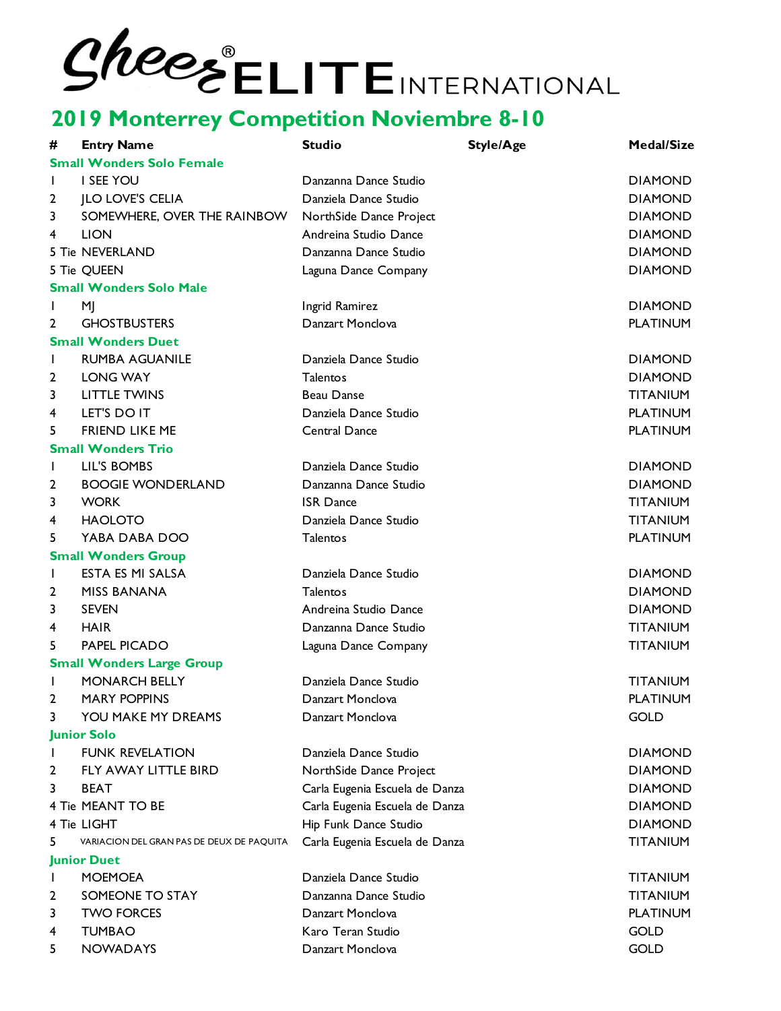| #                  | <b>Entry Name</b>                         | <b>Studio</b>                  | <b>Style/Age</b> | <b>Medal/Size</b> |
|--------------------|-------------------------------------------|--------------------------------|------------------|-------------------|
|                    | <b>Small Wonders Solo Female</b>          |                                |                  |                   |
| T                  | I SEE YOU                                 | Danzanna Dance Studio          |                  | <b>DIAMOND</b>    |
| 2                  | <b>JLO LOVE'S CELIA</b>                   | Danziela Dance Studio          |                  | <b>DIAMOND</b>    |
| 3                  | SOMEWHERE, OVER THE RAINBOW               | NorthSide Dance Project        |                  | <b>DIAMOND</b>    |
| 4                  | <b>LION</b>                               | Andreina Studio Dance          |                  | <b>DIAMOND</b>    |
|                    | 5 Tie NEVERLAND                           | Danzanna Dance Studio          |                  | <b>DIAMOND</b>    |
|                    | 5 Tie QUEEN                               | Laguna Dance Company           |                  | <b>DIAMOND</b>    |
|                    | <b>Small Wonders Solo Male</b>            |                                |                  |                   |
|                    | M                                         | Ingrid Ramirez                 |                  | <b>DIAMOND</b>    |
| 2                  | <b>GHOSTBUSTERS</b>                       | Danzart Monclova               |                  | <b>PLATINUM</b>   |
|                    | <b>Small Wonders Duet</b>                 |                                |                  |                   |
|                    | <b>RUMBA AGUANILE</b>                     | Danziela Dance Studio          |                  | <b>DIAMOND</b>    |
| $\overline{2}$     | <b>LONG WAY</b>                           | Talentos                       |                  | <b>DIAMOND</b>    |
| 3                  | <b>LITTLE TWINS</b>                       | <b>Beau Danse</b>              |                  | <b>TITANIUM</b>   |
| 4                  | LET'S DO IT                               | Danziela Dance Studio          |                  | <b>PLATINUM</b>   |
| 5                  | <b>FRIEND LIKE ME</b>                     | Central Dance                  |                  | <b>PLATINUM</b>   |
|                    | <b>Small Wonders Trio</b>                 |                                |                  |                   |
| T                  | LIL'S BOMBS                               | Danziela Dance Studio          |                  | <b>DIAMOND</b>    |
| 2                  | <b>BOOGIE WONDERLAND</b>                  | Danzanna Dance Studio          |                  | <b>DIAMOND</b>    |
| 3                  | <b>WORK</b>                               | <b>ISR Dance</b>               |                  | <b>TITANIUM</b>   |
| 4                  | <b>HAOLOTO</b>                            | Danziela Dance Studio          |                  | <b>TITANIUM</b>   |
| 5                  | YABA DABA DOO                             | Talentos                       |                  | <b>PLATINUM</b>   |
|                    | <b>Small Wonders Group</b>                |                                |                  |                   |
| L                  | ESTA ES MI SALSA                          | Danziela Dance Studio          |                  | <b>DIAMOND</b>    |
| $\overline{2}$     | <b>MISS BANANA</b>                        | Talentos                       |                  | <b>DIAMOND</b>    |
| 3                  | <b>SEVEN</b>                              | Andreina Studio Dance          |                  | <b>DIAMOND</b>    |
| 4                  | <b>HAIR</b>                               | Danzanna Dance Studio          |                  | <b>TITANIUM</b>   |
| 5                  | PAPEL PICADO                              | Laguna Dance Company           |                  | <b>TITANIUM</b>   |
|                    | <b>Small Wonders Large Group</b>          |                                |                  |                   |
|                    | <b>MONARCH BELLY</b>                      | Danziela Dance Studio          |                  | <b>TITANIUM</b>   |
| 2                  | <b>MARY POPPINS</b>                       | Danzart Monclova               |                  | <b>PLATINUM</b>   |
| 3                  | YOU MAKE MY DREAMS                        | Danzart Monclova               |                  | <b>GOLD</b>       |
|                    | <b>Junior Solo</b>                        |                                |                  |                   |
|                    | <b>FUNK REVELATION</b>                    | Danziela Dance Studio          |                  | <b>DIAMOND</b>    |
| 2                  | FLY AWAY LITTLE BIRD                      | NorthSide Dance Project        |                  | <b>DIAMOND</b>    |
| 3                  | <b>BEAT</b>                               | Carla Eugenia Escuela de Danza |                  | <b>DIAMOND</b>    |
|                    | 4 Tie MEANT TO BE                         | Carla Eugenia Escuela de Danza |                  | <b>DIAMOND</b>    |
|                    | 4 Tie LIGHT                               | Hip Funk Dance Studio          |                  | <b>DIAMOND</b>    |
| 5                  | VARIACION DEL GRAN PAS DE DEUX DE PAQUITA | Carla Eugenia Escuela de Danza |                  | <b>TITANIUM</b>   |
| <b>Junior Duet</b> |                                           |                                |                  |                   |
| ı                  | <b>MOEMOEA</b>                            | Danziela Dance Studio          |                  | <b>TITANIUM</b>   |
| 2                  | SOMEONE TO STAY                           | Danzanna Dance Studio          |                  | <b>TITANIUM</b>   |
| 3                  | <b>TWO FORCES</b>                         | Danzart Monclova               |                  | <b>PLATINUM</b>   |
| 4                  | <b>TUMBAO</b>                             | Karo Teran Studio              |                  | <b>GOLD</b>       |
| 5                  | <b>NOWADAYS</b>                           | Danzart Monclova               |                  | <b>GOLD</b>       |
|                    |                                           |                                |                  |                   |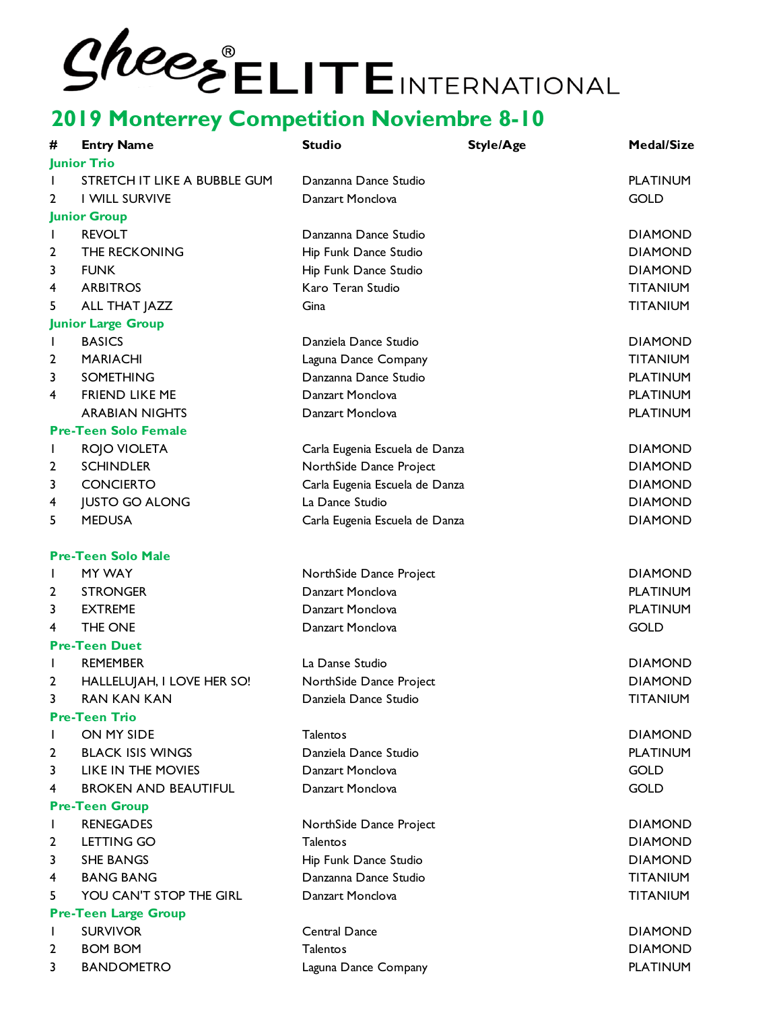| #                                         | <b>Entry Name</b>                                | <b>Studio</b>                                    | <b>Style/Age</b> | <b>Medal/Size</b>                 |
|-------------------------------------------|--------------------------------------------------|--------------------------------------------------|------------------|-----------------------------------|
|                                           | <b>Junior Trio</b>                               |                                                  |                  |                                   |
| L                                         | STRETCH IT LIKE A BUBBLE GUM                     | Danzanna Dance Studio                            |                  | <b>PLATINUM</b>                   |
| 2                                         | <b>I WILL SURVIVE</b>                            | Danzart Monclova                                 |                  | <b>GOLD</b>                       |
|                                           | <b>Junior Group</b>                              |                                                  |                  |                                   |
| I.                                        | <b>REVOLT</b>                                    | Danzanna Dance Studio                            |                  | <b>DIAMOND</b>                    |
| 2                                         | THE RECKONING                                    | Hip Funk Dance Studio                            |                  | <b>DIAMOND</b>                    |
| 3                                         | <b>FUNK</b>                                      | Hip Funk Dance Studio                            |                  | <b>DIAMOND</b>                    |
| 4                                         | <b>ARBITROS</b>                                  | Karo Teran Studio                                |                  | <b>TITANIUM</b>                   |
| 5                                         | ALL THAT JAZZ                                    | Gina                                             |                  | <b>TITANIUM</b>                   |
|                                           | <b>Junior Large Group</b>                        |                                                  |                  |                                   |
| I.                                        | <b>BASICS</b>                                    | Danziela Dance Studio                            |                  | <b>DIAMOND</b>                    |
| 2                                         | <b>MARIACHI</b>                                  | Laguna Dance Company                             |                  | <b>TITANIUM</b>                   |
| 3                                         | SOMETHING                                        | Danzanna Dance Studio                            |                  | <b>PLATINUM</b>                   |
| 4                                         | <b>FRIEND LIKE ME</b>                            | Danzart Monclova                                 |                  | <b>PLATINUM</b>                   |
|                                           | <b>ARABIAN NIGHTS</b>                            | Danzart Monclova                                 |                  | <b>PLATINUM</b>                   |
|                                           | <b>Pre-Teen Solo Female</b>                      |                                                  |                  |                                   |
| $\mathbf{I}$                              | ROJO VIOLETA                                     | Carla Eugenia Escuela de Danza                   |                  | <b>DIAMOND</b>                    |
| 2                                         | <b>SCHINDLER</b>                                 | NorthSide Dance Project                          |                  | <b>DIAMOND</b>                    |
| 3                                         | <b>CONCIERTO</b>                                 | Carla Eugenia Escuela de Danza                   |                  | <b>DIAMOND</b>                    |
| 4                                         | <b>JUSTO GO ALONG</b>                            | La Dance Studio                                  |                  | <b>DIAMOND</b>                    |
| 5                                         | <b>MEDUSA</b>                                    | Carla Eugenia Escuela de Danza                   |                  | <b>DIAMOND</b>                    |
|                                           | <b>Pre-Teen Solo Male</b>                        |                                                  |                  |                                   |
| $\mathbf{I}$                              | MY WAY                                           | NorthSide Dance Project                          |                  | <b>DIAMOND</b>                    |
| 2                                         | <b>STRONGER</b>                                  | Danzart Monclova                                 |                  | <b>PLATINUM</b>                   |
| 3                                         | <b>EXTREME</b>                                   | Danzart Monclova                                 |                  | <b>PLATINUM</b>                   |
| 4                                         | THE ONE                                          | Danzart Monclova                                 |                  | <b>GOLD</b>                       |
|                                           | <b>Pre-Teen Duet</b>                             |                                                  |                  |                                   |
| L                                         | <b>REMEMBER</b>                                  | La Danse Studio                                  |                  | <b>DIAMOND</b>                    |
| 2                                         |                                                  |                                                  |                  | <b>DIAMOND</b>                    |
| 3                                         | HALLELUJAH, I LOVE HER SO!<br><b>RAN KAN KAN</b> | NorthSide Dance Project<br>Danziela Dance Studio |                  | <b>TITANIUM</b>                   |
|                                           |                                                  |                                                  |                  |                                   |
| <b>Pre-Teen Trio</b>                      |                                                  |                                                  |                  |                                   |
| L                                         | ON MY SIDE<br><b>BLACK ISIS WINGS</b>            | Talentos<br>Danziela Dance Studio                |                  | <b>DIAMOND</b><br><b>PLATINUM</b> |
| 2                                         |                                                  |                                                  |                  |                                   |
| 3                                         | LIKE IN THE MOVIES                               | Danzart Monclova                                 |                  | <b>GOLD</b>                       |
| 4                                         | <b>BROKEN AND BEAUTIFUL</b>                      | Danzart Monclova                                 |                  | <b>GOLD</b>                       |
| <b>Pre-Teen Group</b><br><b>RENEGADES</b> |                                                  |                                                  |                  |                                   |
| L                                         |                                                  | NorthSide Dance Project                          |                  | <b>DIAMOND</b>                    |
| 2                                         | LETTING GO                                       | <b>Talentos</b>                                  |                  | <b>DIAMOND</b>                    |
| 3                                         | <b>SHE BANGS</b>                                 | Hip Funk Dance Studio                            |                  | <b>DIAMOND</b>                    |
| 4                                         | <b>BANG BANG</b>                                 | Danzanna Dance Studio                            |                  | <b>TITANIUM</b>                   |
| 5                                         | YOU CAN'T STOP THE GIRL                          | Danzart Monclova                                 |                  | <b>TITANIUM</b>                   |
| <b>Pre-Teen Large Group</b>               |                                                  |                                                  |                  |                                   |
| L                                         | <b>SURVIVOR</b>                                  | Central Dance                                    |                  | <b>DIAMOND</b>                    |
| 2                                         | <b>BOM BOM</b>                                   | Talentos                                         |                  | <b>DIAMOND</b>                    |
| 3                                         | <b>BANDOMETRO</b>                                | Laguna Dance Company                             |                  | <b>PLATINUM</b>                   |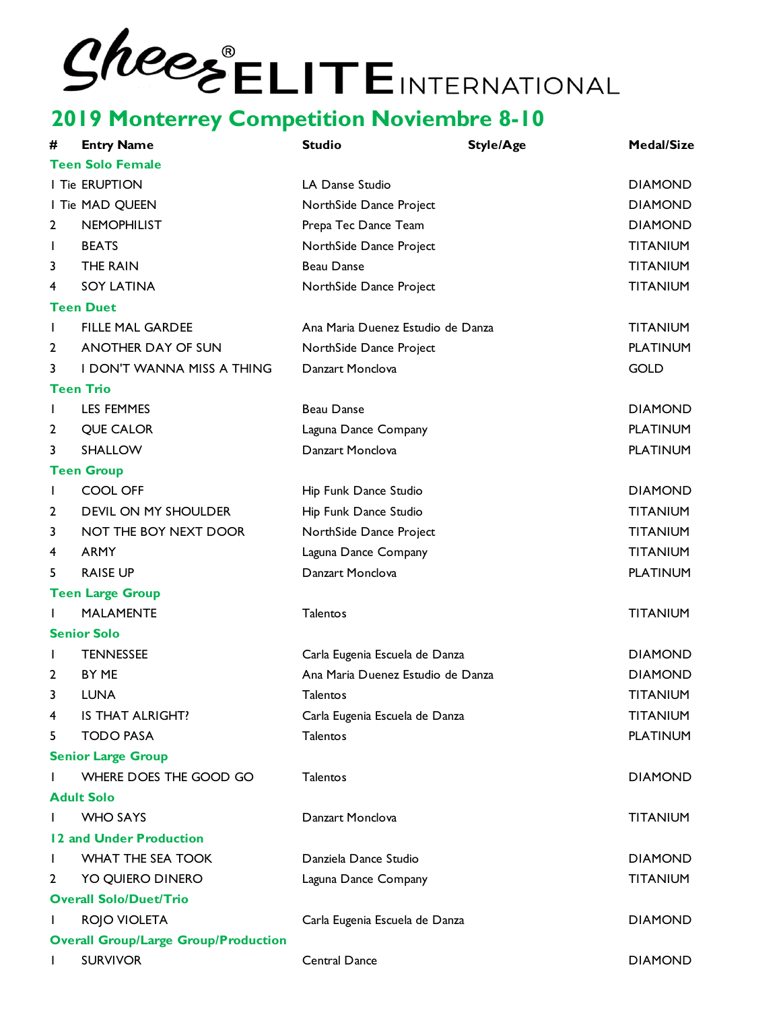| #              | <b>Entry Name</b>                           | <b>Studio</b>                     | <b>Style/Age</b> | <b>Medal/Size</b> |
|----------------|---------------------------------------------|-----------------------------------|------------------|-------------------|
|                | <b>Teen Solo Female</b>                     |                                   |                  |                   |
|                | I Tie ERUPTION                              | LA Danse Studio                   |                  | <b>DIAMOND</b>    |
|                | I Tie MAD QUEEN                             | NorthSide Dance Project           |                  | <b>DIAMOND</b>    |
| 2              | <b>NEMOPHILIST</b>                          | Prepa Tec Dance Team              |                  | <b>DIAMOND</b>    |
| $\mathbf{I}$   | <b>BEATS</b>                                | NorthSide Dance Project           |                  | <b>TITANIUM</b>   |
| 3              | THE RAIN                                    | <b>Beau Danse</b>                 |                  | <b>TITANIUM</b>   |
| 4              | <b>SOY LATINA</b>                           | NorthSide Dance Project           |                  | <b>TITANIUM</b>   |
|                | <b>Teen Duet</b>                            |                                   |                  |                   |
| I.             | <b>FILLE MAL GARDEE</b>                     | Ana Maria Duenez Estudio de Danza |                  | <b>TITANIUM</b>   |
| 2              | ANOTHER DAY OF SUN                          | NorthSide Dance Project           |                  | <b>PLATINUM</b>   |
| 3              | I DON'T WANNA MISS A THING                  | Danzart Monclova                  |                  | <b>GOLD</b>       |
|                | <b>Teen Trio</b>                            |                                   |                  |                   |
| $\mathbf{I}$   | LES FEMMES                                  | <b>Beau Danse</b>                 |                  | <b>DIAMOND</b>    |
| $\overline{2}$ | <b>QUE CALOR</b>                            | Laguna Dance Company              |                  | <b>PLATINUM</b>   |
| 3              | SHALLOW                                     | Danzart Monclova                  |                  | <b>PLATINUM</b>   |
|                | <b>Teen Group</b>                           |                                   |                  |                   |
| $\mathbf{I}$   | <b>COOL OFF</b>                             | Hip Funk Dance Studio             |                  | <b>DIAMOND</b>    |
| 2              | DEVIL ON MY SHOULDER                        | Hip Funk Dance Studio             |                  | <b>TITANIUM</b>   |
| 3              | NOT THE BOY NEXT DOOR                       | NorthSide Dance Project           |                  | <b>TITANIUM</b>   |
| 4              | <b>ARMY</b>                                 | Laguna Dance Company              |                  | <b>TITANIUM</b>   |
| 5              | <b>RAISE UP</b>                             | Danzart Monclova                  |                  | <b>PLATINUM</b>   |
|                | <b>Teen Large Group</b>                     |                                   |                  |                   |
| I.             | <b>MALAMENTE</b>                            | Talentos                          |                  | <b>TITANIUM</b>   |
|                | <b>Senior Solo</b>                          |                                   |                  |                   |
| J.             | <b>TENNESSEE</b>                            | Carla Eugenia Escuela de Danza    |                  | <b>DIAMOND</b>    |
| 2              | BY ME                                       | Ana Maria Duenez Estudio de Danza |                  | <b>DIAMOND</b>    |
| 3              | <b>LUNA</b>                                 | Talentos                          |                  | <b>TITANIUM</b>   |
| 4              | IS THAT ALRIGHT?                            | Carla Eugenia Escuela de Danza    |                  | <b>TITANIUM</b>   |
| 5              | <b>TODO PASA</b>                            | Talentos                          |                  | <b>PLATINUM</b>   |
|                | <b>Senior Large Group</b>                   |                                   |                  |                   |
|                | WHERE DOES THE GOOD GO                      | Talentos                          |                  | <b>DIAMOND</b>    |
|                | <b>Adult Solo</b>                           |                                   |                  |                   |
|                | <b>WHO SAYS</b>                             | Danzart Monclova                  |                  | <b>TITANIUM</b>   |
|                | 12 and Under Production                     |                                   |                  |                   |
| J.             | <b>WHAT THE SEA TOOK</b>                    | Danziela Dance Studio             |                  | <b>DIAMOND</b>    |
| 2              | YO QUIERO DINERO                            | Laguna Dance Company              |                  | <b>TITANIUM</b>   |
|                | <b>Overall Solo/Duet/Trio</b>               |                                   |                  |                   |
|                | ROJO VIOLETA                                | Carla Eugenia Escuela de Danza    |                  | <b>DIAMOND</b>    |
|                | <b>Overall Group/Large Group/Production</b> |                                   |                  |                   |
| J.             | <b>SURVIVOR</b>                             | Central Dance                     |                  | <b>DIAMOND</b>    |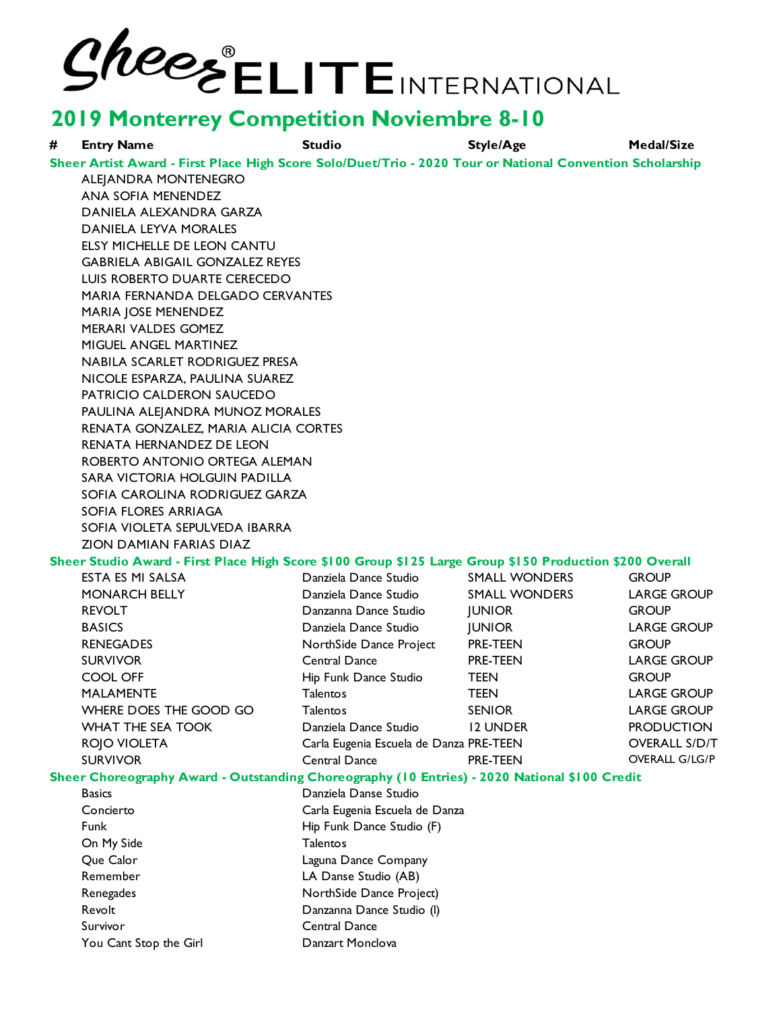| # | <b>Entry Name</b>                                                                                         | <b>Studio</b>                           | <b>Style/Age</b>     | <b>Medal/Size</b>     |  |
|---|-----------------------------------------------------------------------------------------------------------|-----------------------------------------|----------------------|-----------------------|--|
|   | Sheer Artist Award - First Place High Score Solo/Duet/Trio - 2020 Tour or National Convention Scholarship |                                         |                      |                       |  |
|   | ALEJANDRA MONTENEGRO                                                                                      |                                         |                      |                       |  |
|   | <b>ANA SOFIA MENENDEZ</b>                                                                                 |                                         |                      |                       |  |
|   | DANIELA ALEXANDRA GARZA                                                                                   |                                         |                      |                       |  |
|   | DANIELA LEYVA MORALES                                                                                     |                                         |                      |                       |  |
|   | ELSY MICHELLE DE LEON CANTU                                                                               |                                         |                      |                       |  |
|   | <b>GABRIELA ABIGAIL GONZALEZ REYES</b>                                                                    |                                         |                      |                       |  |
|   | LUIS ROBERTO DUARTE CERECEDO                                                                              |                                         |                      |                       |  |
|   | MARIA FERNANDA DELGADO CERVANTES                                                                          |                                         |                      |                       |  |
|   | <b>MARIA JOSE MENENDEZ</b>                                                                                |                                         |                      |                       |  |
|   | <b>MERARI VALDES GOMEZ</b>                                                                                |                                         |                      |                       |  |
|   | MIGUEL ANGEL MARTINEZ                                                                                     |                                         |                      |                       |  |
|   | NABILA SCARLET RODRIGUEZ PRESA                                                                            |                                         |                      |                       |  |
|   | NICOLE ESPARZA, PAULINA SUAREZ                                                                            |                                         |                      |                       |  |
|   | PATRICIO CALDERON SAUCEDO                                                                                 |                                         |                      |                       |  |
|   | PAULINA ALEJANDRA MUNOZ MORALES                                                                           |                                         |                      |                       |  |
|   | RENATA GONZALEZ, MARIA ALICIA CORTES                                                                      |                                         |                      |                       |  |
|   | <b>RENATA HERNANDEZ DE LEON</b>                                                                           |                                         |                      |                       |  |
|   | ROBERTO ANTONIO ORTEGA ALEMAN                                                                             |                                         |                      |                       |  |
|   | SARA VICTORIA HOLGUIN PADILLA                                                                             |                                         |                      |                       |  |
|   | SOFIA CAROLINA RODRIGUEZ GARZA                                                                            |                                         |                      |                       |  |
|   | SOFIA FLORES ARRIAGA                                                                                      |                                         |                      |                       |  |
|   | SOFIA VIOLETA SEPULVEDA IBARRA                                                                            |                                         |                      |                       |  |
|   | ZION DAMIAN FARIAS DIAZ                                                                                   |                                         |                      |                       |  |
|   | Sheer Studio Award - First Place High Score \$100 Group \$125 Large Group \$150 Production \$200 Overall  |                                         |                      |                       |  |
|   | ESTA ES MI SALSA                                                                                          | Danziela Dance Studio                   | <b>SMALL WONDERS</b> | <b>GROUP</b>          |  |
|   | <b>MONARCH BELLY</b>                                                                                      | Danziela Dance Studio                   | <b>SMALL WONDERS</b> | <b>LARGE GROUP</b>    |  |
|   | <b>REVOLT</b>                                                                                             | Danzanna Dance Studio                   | <b>JUNIOR</b>        | <b>GROUP</b>          |  |
|   | <b>BASICS</b>                                                                                             | Danziela Dance Studio                   | <b>JUNIOR</b>        | <b>LARGE GROUP</b>    |  |
|   | <b>RENEGADES</b>                                                                                          | NorthSide Dance Project                 | PRE-TEEN             | <b>GROUP</b>          |  |
|   | <b>SURVIVOR</b>                                                                                           | Central Dance                           | PRE-TEEN             | <b>LARGE GROUP</b>    |  |
|   | COOL OFF                                                                                                  | Hip Funk Dance Studio                   | <b>TEEN</b>          | <b>GROUP</b>          |  |
|   | <b>MALAMENTE</b>                                                                                          | Talentos                                | <b>TEEN</b>          | <b>LARGE GROUP</b>    |  |
|   | WHERE DOES THE GOOD GO                                                                                    | <b>Talentos</b>                         | <b>SENIOR</b>        | <b>LARGE GROUP</b>    |  |
|   | <b>WHAT THE SEA TOOK</b>                                                                                  | Danziela Dance Studio                   | <b>12 UNDER</b>      | <b>PRODUCTION</b>     |  |
|   | <b>ROJO VIOLETA</b>                                                                                       | Carla Eugenia Escuela de Danza PRE-TEEN |                      | <b>OVERALL S/D/T</b>  |  |
|   | <b>SURVIVOR</b>                                                                                           | Central Dance                           | PRE-TEEN             | <b>OVERALL G/LG/P</b> |  |
|   | Sheer Choreography Award - Outstanding Choreography (10 Entries) - 2020 National \$100 Credit             |                                         |                      |                       |  |
|   | <b>Basics</b>                                                                                             | Danziela Danse Studio                   |                      |                       |  |
|   | Concierto                                                                                                 | Carla Eugenia Escuela de Danza          |                      |                       |  |
|   | Funk                                                                                                      | Hip Funk Dance Studio (F)               |                      |                       |  |
|   | On My Side                                                                                                | <b>Talentos</b>                         |                      |                       |  |
|   | Que Calor                                                                                                 | Laguna Dance Company                    |                      |                       |  |
|   | Remember                                                                                                  | LA Danse Studio (AB)                    |                      |                       |  |
|   | Renegades                                                                                                 | NorthSide Dance Project)                |                      |                       |  |
|   | Revolt                                                                                                    | Danzanna Dance Studio (I)               |                      |                       |  |
|   | Survivor                                                                                                  | Central Dance                           |                      |                       |  |
|   | You Cant Stop the Girl                                                                                    | Danzart Monclova                        |                      |                       |  |
|   |                                                                                                           |                                         |                      |                       |  |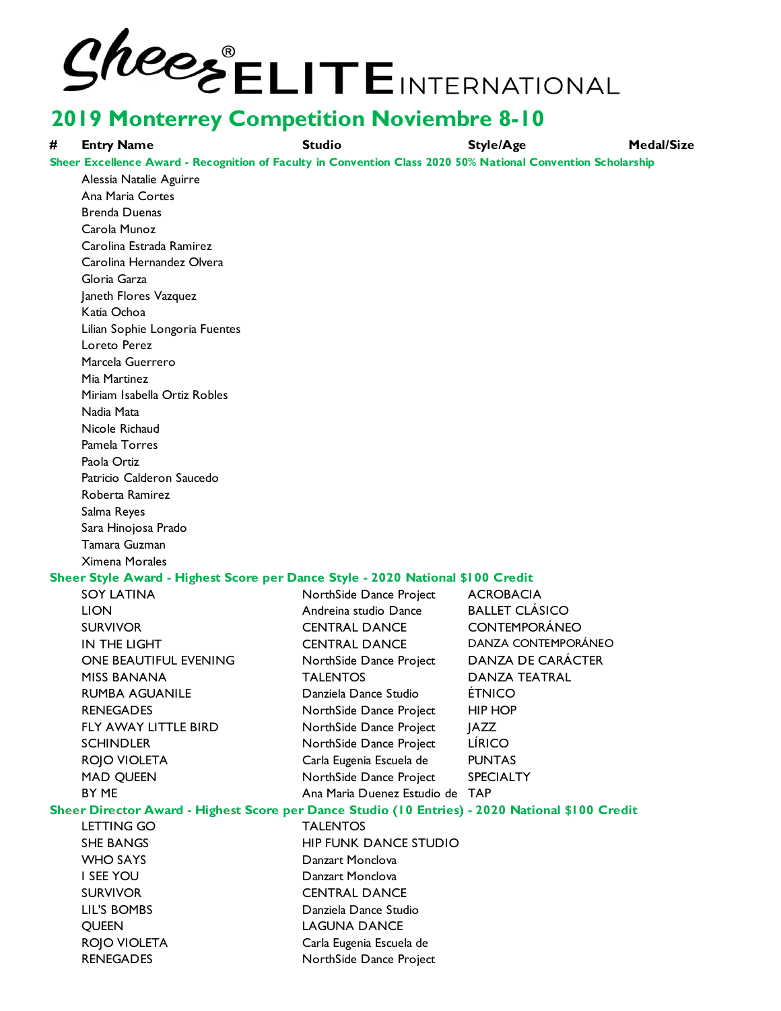# **2/2028** ELITEINTERNATIONAL

**# Entry Name Studio Style/Age Medal/Size** Alessia Natalie Aguirre Ana Maria Cortes Brenda Duenas Carola Munoz Carolina Estrada Ramirez Carolina Hernandez Olvera Gloria Garza Janeth Flores Vazquez Katia Ochoa Lilian Sophie Longoria Fuentes Loreto Perez Marcela Guerrero Mia Martinez Miriam Isabella Ortiz Robles Nadia Mata Nicole Richaud Pamela Torres Paola Ortiz Patricio Calderon Saucedo Roberta Ramirez Salma Reyes Sara Hinojosa Prado Tamara Guzman Ximena Morales SOY LATINA NorthSide Dance Project ACROBACIA LION Andreina studio Dance BALLET CLÁSICO SURVIVOR CENTRAL DANCE CONTEMPORÁNEO IN THE LIGHT CENTRAL DANCE DANZA CONTEMPORÁNEO ONE BEAUTIFUL EVENING NorthSide Dance Project DANZA DE CARÁCTER MISS BANANA TALENTOS DANZA TEATRAL RUMBA AGUANILE Danziela Dance Studio ÉTNICO RENEGADES NorthSide Dance Project HIP HOP FLY AWAY LITTLE BIRD NorthSide Dance Project | AZZ SCHINDLER NorthSide Dance Project LÍRICO ROJO VIOLETA Carla Eugenia Escuela de PUNTAS MAD QUEEN NorthSide Dance Project SPECIALTY BY ME **Ana Maria Duenez Estudio de TAP** LETTING GO **TALENTOS** SHE BANGS HIP FUNK DANCE STUDIO WHO SAYS **Danzart Monclova** I SEE YOU Danzart Monclova SURVIVOR CENTRAL DANCE LIL'S BOMBS Danziela Dance Studio QUEEN LAGUNA DANCE ROJO VIOLETA Carla Eugenia Escuela de RENEGADES NorthSide Dance Project **Sheer Style Award - Highest Score per Dance Style - 2020 National \$100 Credit Sheer Director Award - Highest Score per Dance Studio (10 Entries) - 2020 National \$100 Credit Sheer Excellence Award - Recognition of Faculty in Convention Class 2020 50% National Convention Scholarship**